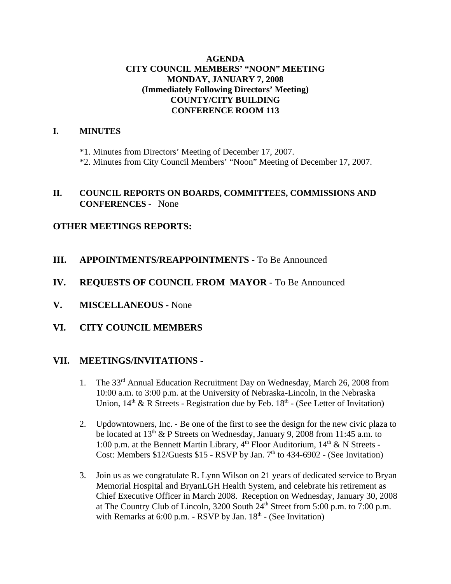## **AGENDA CITY COUNCIL MEMBERS' "NOON" MEETING MONDAY, JANUARY 7, 2008 (Immediately Following Directors' Meeting) COUNTY/CITY BUILDING CONFERENCE ROOM 113**

## **I. MINUTES**

\*1. Minutes from Directors' Meeting of December 17, 2007.

\*2. Minutes from City Council Members' "Noon" Meeting of December 17, 2007.

## **II. COUNCIL REPORTS ON BOARDS, COMMITTEES, COMMISSIONS AND CONFERENCES** - None

## **OTHER MEETINGS REPORTS:**

- **III.** APPOINTMENTS/REAPPOINTMENTS To Be Announced
- **IV. REQUESTS OF COUNCIL FROM MAYOR -** To Be Announced
- **V. MISCELLANEOUS -** None
- **VI. CITY COUNCIL MEMBERS**

## **VII. MEETINGS/INVITATIONS** -

- 1. The 33rd Annual Education Recruitment Day on Wednesday, March 26, 2008 from 10:00 a.m. to 3:00 p.m. at the University of Nebraska-Lincoln, in the Nebraska Union,  $14<sup>th</sup>$  & R Streets - Registration due by Feb.  $18<sup>th</sup>$  - (See Letter of Invitation)
- 2. Updowntowners, Inc. Be one of the first to see the design for the new civic plaza to be located at  $13<sup>th</sup>$  & P Streets on Wednesday, January 9, 2008 from 11:45 a.m. to 1:00 p.m. at the Bennett Martin Library,  $4<sup>th</sup>$  Floor Auditorium,  $14<sup>th</sup>$  & N Streets -Cost: Members  $$12/G$ uests  $$15$  - RSVP by Jan. 7<sup>th</sup> to 434-6902 - (See Invitation)
- 3. Join us as we congratulate R. Lynn Wilson on 21 years of dedicated service to Bryan Memorial Hospital and BryanLGH Health System, and celebrate his retirement as Chief Executive Officer in March 2008. Reception on Wednesday, January 30, 2008 at The Country Club of Lincoln, 3200 South  $24<sup>th</sup>$  Street from 5:00 p.m. to 7:00 p.m. with Remarks at  $6:00$  p.m. - RSVP by Jan.  $18<sup>th</sup>$  - (See Invitation)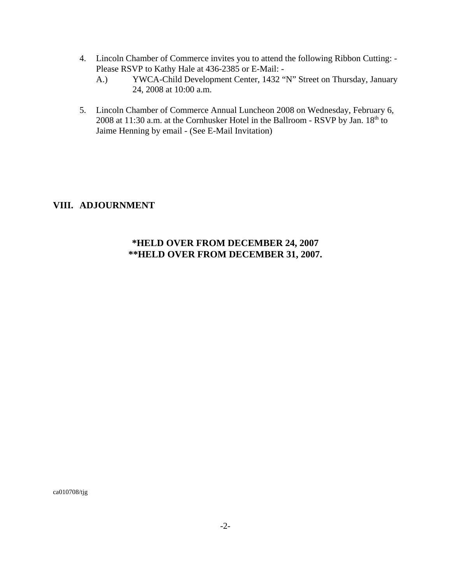- 4. Lincoln Chamber of Commerce invites you to attend the following Ribbon Cutting: Please RSVP to Kathy Hale at 436-2385 or E-Mail: -
	- A.) YWCA-Child Development Center, 1432 "N" Street on Thursday, January 24, 2008 at 10:00 a.m.
- 5. Lincoln Chamber of Commerce Annual Luncheon 2008 on Wednesday, February 6, 2008 at 11:30 a.m. at the Cornhusker Hotel in the Ballroom - RSVP by Jan.  $18<sup>th</sup>$  to Jaime Henning by email - (See E-Mail Invitation)

## **VIII. ADJOURNMENT**

## **\*HELD OVER FROM DECEMBER 24, 2007 \*\*HELD OVER FROM DECEMBER 31, 2007.**

ca010708/tjg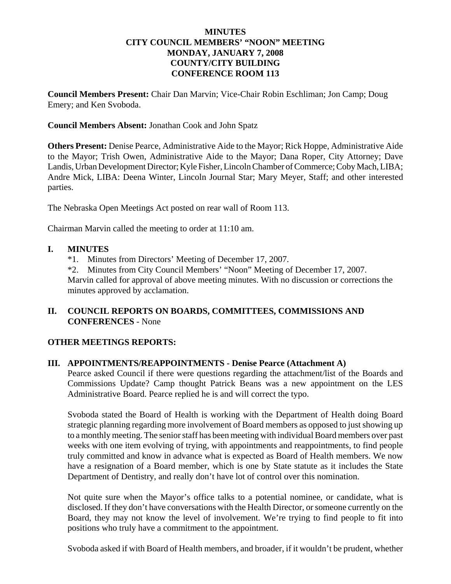## **MINUTES CITY COUNCIL MEMBERS' "NOON" MEETING MONDAY, JANUARY 7, 2008 COUNTY/CITY BUILDING CONFERENCE ROOM 113**

**Council Members Present:** Chair Dan Marvin; Vice-Chair Robin Eschliman; Jon Camp; Doug Emery; and Ken Svoboda.

#### **Council Members Absent:** Jonathan Cook and John Spatz

**Others Present:** Denise Pearce, Administrative Aide to the Mayor; Rick Hoppe, Administrative Aide to the Mayor; Trish Owen, Administrative Aide to the Mayor; Dana Roper, City Attorney; Dave Landis, Urban Development Director; Kyle Fisher, Lincoln Chamber of Commerce; Coby Mach, LIBA; Andre Mick, LIBA: Deena Winter, Lincoln Journal Star; Mary Meyer, Staff; and other interested parties.

The Nebraska Open Meetings Act posted on rear wall of Room 113.

Chairman Marvin called the meeting to order at 11:10 am.

### **I. MINUTES**

\*1. Minutes from Directors' Meeting of December 17, 2007.

\*2. Minutes from City Council Members' "Noon" Meeting of December 17, 2007. Marvin called for approval of above meeting minutes. With no discussion or corrections the minutes approved by acclamation.

## **II. COUNCIL REPORTS ON BOARDS, COMMITTEES, COMMISSIONS AND CONFERENCES** - None

## **OTHER MEETINGS REPORTS:**

#### **III. APPOINTMENTS/REAPPOINTMENTS - Denise Pearce (Attachment A)**

Pearce asked Council if there were questions regarding the attachment/list of the Boards and Commissions Update? Camp thought Patrick Beans was a new appointment on the LES Administrative Board. Pearce replied he is and will correct the typo.

Svoboda stated the Board of Health is working with the Department of Health doing Board strategic planning regarding more involvement of Board members as opposed to just showing up to a monthly meeting. The senior staff has been meeting with individual Board members over past weeks with one item evolving of trying, with appointments and reappointments, to find people truly committed and know in advance what is expected as Board of Health members. We now have a resignation of a Board member, which is one by State statute as it includes the State Department of Dentistry, and really don't have lot of control over this nomination.

Not quite sure when the Mayor's office talks to a potential nominee, or candidate, what is disclosed. If they don't have conversations with the Health Director, or someone currently on the Board, they may not know the level of involvement. We're trying to find people to fit into positions who truly have a commitment to the appointment.

Svoboda asked if with Board of Health members, and broader, if it wouldn't be prudent, whether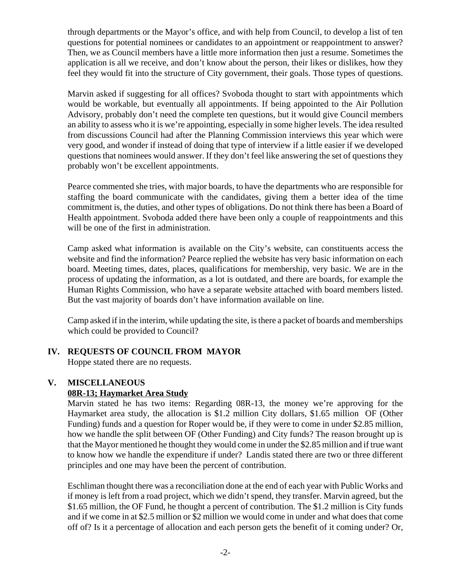through departments or the Mayor's office, and with help from Council, to develop a list of ten questions for potential nominees or candidates to an appointment or reappointment to answer? Then, we as Council members have a little more information then just a resume. Sometimes the application is all we receive, and don't know about the person, their likes or dislikes, how they feel they would fit into the structure of City government, their goals. Those types of questions.

Marvin asked if suggesting for all offices? Svoboda thought to start with appointments which would be workable, but eventually all appointments. If being appointed to the Air Pollution Advisory, probably don't need the complete ten questions, but it would give Council members an ability to assess who it is we're appointing, especially in some higher levels. The idea resulted from discussions Council had after the Planning Commission interviews this year which were very good, and wonder if instead of doing that type of interview if a little easier if we developed questions that nominees would answer. If they don't feel like answering the set of questions they probably won't be excellent appointments.

Pearce commented she tries, with major boards, to have the departments who are responsible for staffing the board communicate with the candidates, giving them a better idea of the time commitment is, the duties, and other types of obligations. Do not think there has been a Board of Health appointment. Svoboda added there have been only a couple of reappointments and this will be one of the first in administration.

Camp asked what information is available on the City's website, can constituents access the website and find the information? Pearce replied the website has very basic information on each board. Meeting times, dates, places, qualifications for membership, very basic. We are in the process of updating the information, as a lot is outdated, and there are boards, for example the Human Rights Commission, who have a separate website attached with board members listed. But the vast majority of boards don't have information available on line.

Camp asked if in the interim, while updating the site, is there a packet of boards and memberships which could be provided to Council?

## **IV. REQUESTS OF COUNCIL FROM MAYOR**

Hoppe stated there are no requests.

## **V. MISCELLANEOUS 08R-13; Haymarket Area Study**

Marvin stated he has two items: Regarding 08R-13, the money we're approving for the Haymarket area study, the allocation is \$1.2 million City dollars, \$1.65 million OF (Other Funding) funds and a question for Roper would be, if they were to come in under \$2.85 million, how we handle the split between OF (Other Funding) and City funds? The reason brought up is that the Mayor mentioned he thought they would come in under the \$2.85 million and if true want to know how we handle the expenditure if under? Landis stated there are two or three different principles and one may have been the percent of contribution.

Eschliman thought there was a reconciliation done at the end of each year with Public Works and if money is left from a road project, which we didn't spend, they transfer. Marvin agreed, but the \$1.65 million, the OF Fund, he thought a percent of contribution. The \$1.2 million is City funds and if we come in at \$2.5 million or \$2 million we would come in under and what does that come off of? Is it a percentage of allocation and each person gets the benefit of it coming under? Or,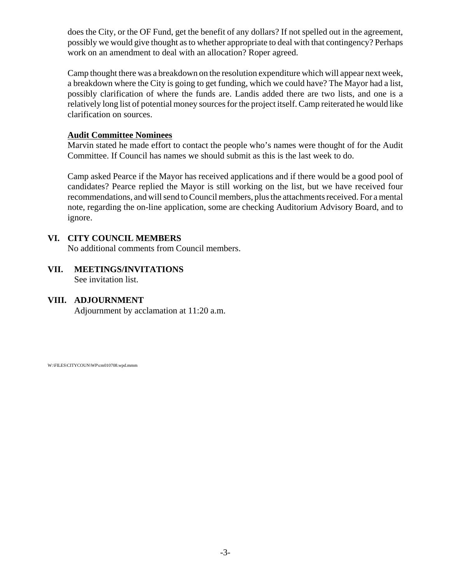does the City, or the OF Fund, get the benefit of any dollars? If not spelled out in the agreement, possibly we would give thought as to whether appropriate to deal with that contingency? Perhaps work on an amendment to deal with an allocation? Roper agreed.

Camp thought there was a breakdown on the resolution expenditure which will appear next week, a breakdown where the City is going to get funding, which we could have? The Mayor had a list, possibly clarification of where the funds are. Landis added there are two lists, and one is a relatively long list of potential money sources for the project itself. Camp reiterated he would like clarification on sources.

## **Audit Committee Nominees**

Marvin stated he made effort to contact the people who's names were thought of for the Audit Committee. If Council has names we should submit as this is the last week to do.

Camp asked Pearce if the Mayor has received applications and if there would be a good pool of candidates? Pearce replied the Mayor is still working on the list, but we have received four recommendations, and will send to Council members, plus the attachments received. For a mental note, regarding the on-line application, some are checking Auditorium Advisory Board, and to ignore.

## **VI. CITY COUNCIL MEMBERS**

No additional comments from Council members.

# **VII. MEETINGS/INVITATIONS**

See invitation list.

## **VIII. ADJOURNMENT**

Adjournment by acclamation at 11:20 a.m.

W:\FILES\CITYCOUN\WP\cm010708.wpd.mmm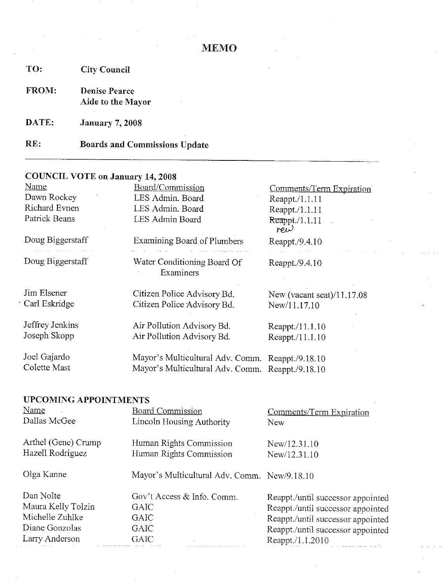| TO:   | <b>City Council</b>                       |
|-------|-------------------------------------------|
| FROM: | <b>Denise Pearce</b><br>Aide to the Mayor |
| DATE: | <b>January 7, 2008</b>                    |
| RE:   | <b>Boards and Commissions Update</b>      |

## **COUNCIL VOTE on January 14, 2008**

| Name             | Board/Commission                                 | Comments/Term Expiration   |
|------------------|--------------------------------------------------|----------------------------|
| Dawn Rockey      | LES Admin. Board                                 | Reappt./1.1.11             |
| Richard Evnen    | LES Admin. Board                                 | Reappt./1.1.11             |
| Patrick Beans    | LES Admin Board                                  | $R$ eappt./1.1.11<br>rew   |
| Doug Biggerstaff | <b>Examining Board of Plumbers</b>               | Reappt./9.4.10             |
| Doug Biggerstaff | Water Conditioning Board Of<br>Examiners         | Reappt./9.4.10             |
| Jim Elsener      | Citizen Police Advisory Bd.                      | New (vacant seat)/11.17.08 |
| Carl Eskridge    | Citizen Police Advisory Bd.                      | New/11.17.10               |
| Jeffrey Jenkins  | Air Pollution Advisory Bd.                       | Reappt./11.1.10            |
| Joseph Skopp     | Air Pollution Advisory Bd.                       | Reappt./11.1.10            |
| Joel Gajardo     | Mayor's Multicultural Adv. Comm. Reappt./9.18.10 |                            |
| Colette Mast     | Mayor's Multicultural Adv. Comm. Reappt./9.18.10 |                            |
|                  |                                                  |                            |

## **UPCOMING APPOINTMENTS**

| Name                | <b>Board Commission</b>                      | Comments/Term Expiration          |
|---------------------|----------------------------------------------|-----------------------------------|
| Dallas McGee        | Lincoln Housing Authority                    | <b>New</b>                        |
| Arthel (Gene) Crump | Human Rights Commission                      | New/12.31.10                      |
| Hazell Rodriguez    | Human Rights Commission                      | New/12.31.10                      |
| Olga Kanne          | Mayor's Multicultural Adv. Comm. New/9.18.10 |                                   |
| Dan Nolte           | Gov't Access & Info. Comm.                   | Reappt./until successor appointed |
| Maura Kelly Tolzin  | GAIC                                         | Reappt./until successor appointed |
| Michelle Zuhlke     | <b>GAIC</b>                                  | Reappt./until successor appointed |
| Diane Gonzolas      | <b>GAIC</b>                                  | Reappt./until successor appointed |
| Larry Anderson      | <b>GAIC</b>                                  | Reappt./1.1.2010                  |